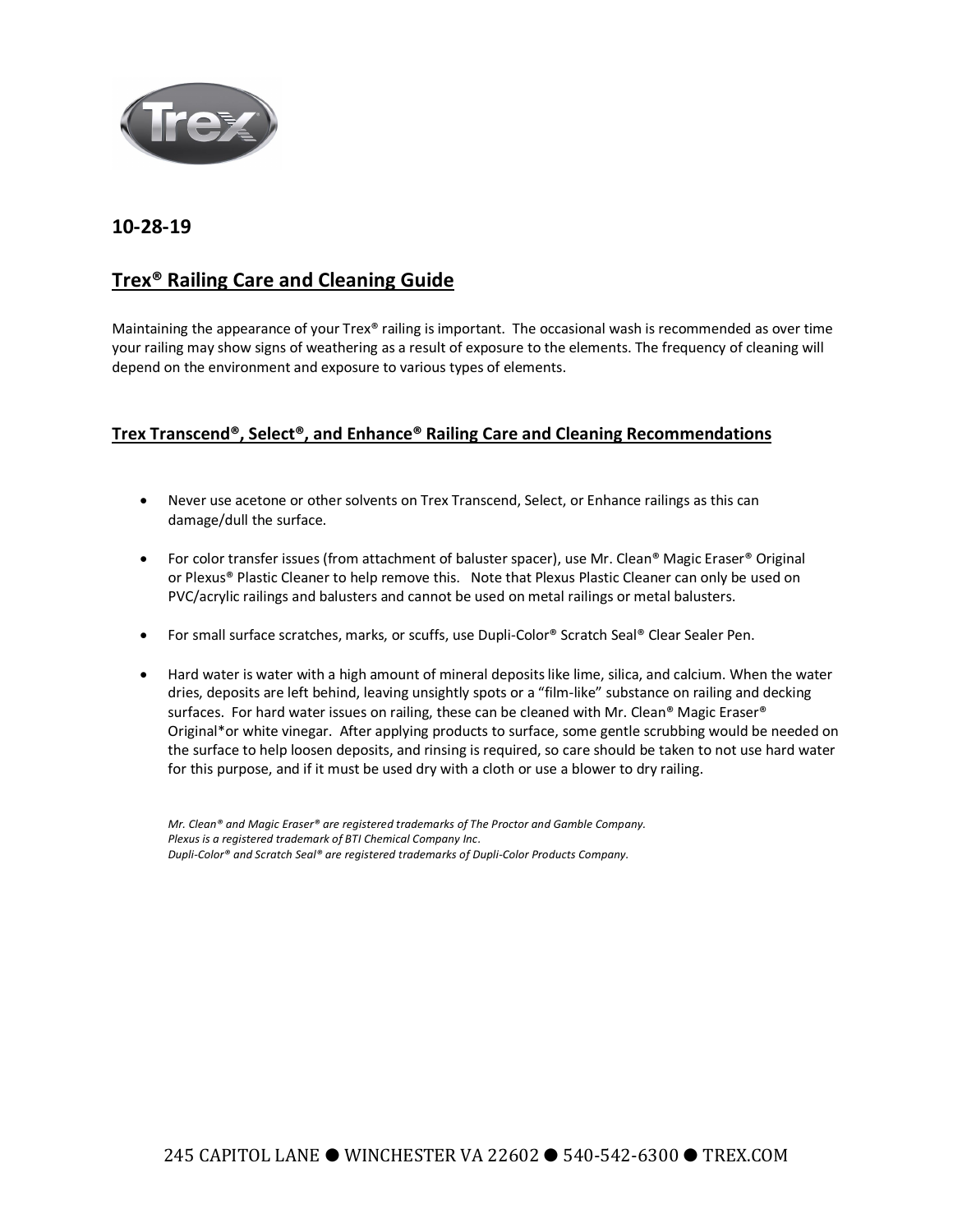

## **10-28-19**

## **Trex® Railing Care and Cleaning Guide**

Maintaining the appearance of your Trex® railing is important. The occasional wash is recommended as over time your railing may show signs of weathering as a result of exposure to the elements. The frequency of cleaning will depend on the environment and exposure to various types of elements.

## **Trex Transcend®, Select®, and Enhance® Railing Care and Cleaning Recommendations**

- Never use acetone or other solvents on Trex Transcend, Select, or Enhance railings as this can damage/dull the surface.
- For color transfer issues (from attachment of baluster spacer), use Mr. Clean® Magic Eraser® Original or Plexus® Plastic Cleaner to help remove this. Note that Plexus Plastic Cleaner can only be used on PVC/acrylic railings and balusters and cannot be used on metal railings or metal balusters.
- For small surface scratches, marks, or scuffs, use Dupli-Color® Scratch Seal® Clear Sealer Pen.
- Hard water is water with a high amount of mineral deposits like lime, silica, and calcium. When the water dries, deposits are left behind, leaving unsightly spots or a "film-like" substance on railing and decking surfaces. For hard water issues on railing, these can be cleaned with Mr. Clean® Magic Eraser® Original\*or white vinegar. After applying products to surface, some gentle scrubbing would be needed on the surface to help loosen deposits, and rinsing is required, so care should be taken to not use hard water for this purpose, and if it must be used dry with a cloth or use a blower to dry railing.

*Mr. Clean® and Magic Eraser® are registered trademarks of The Proctor and Gamble Company. Plexus is a registered trademark of BTI Chemical Company Inc. Dupli-Color® and Scratch Seal® are registered trademarks of Dupli-Color Products Company.*